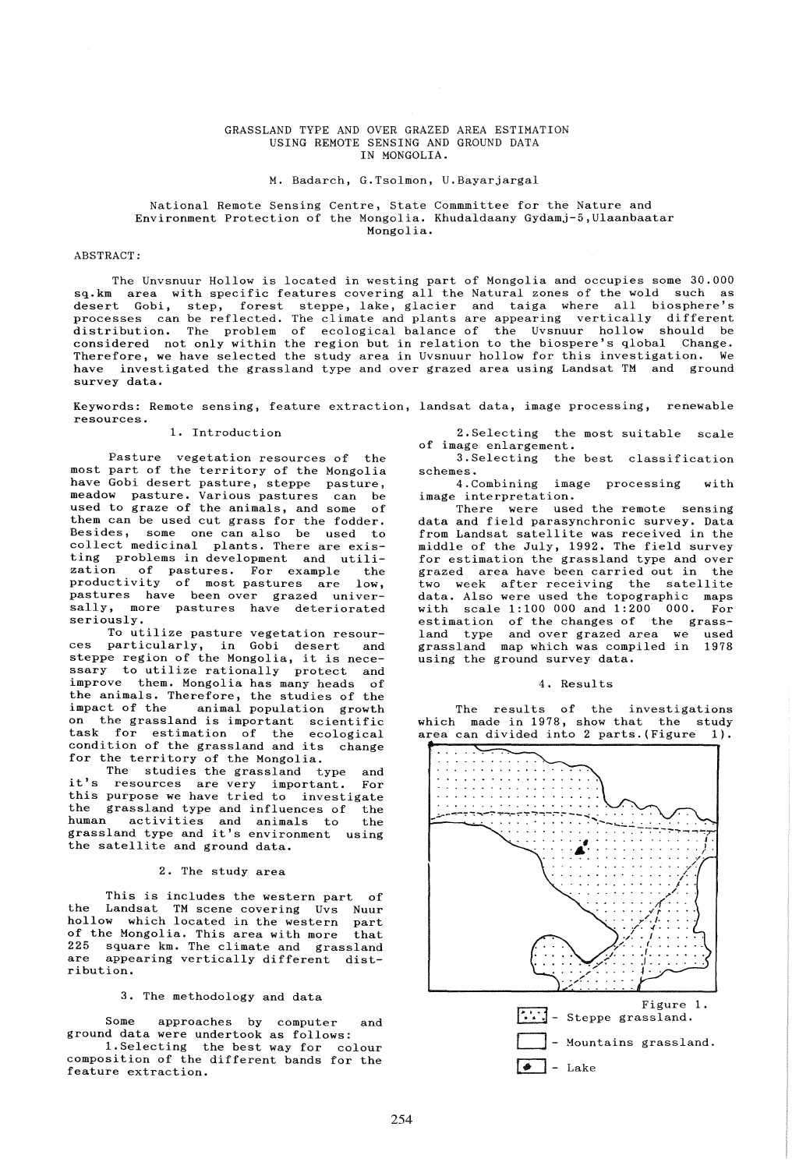### GRASSLAND TYPE AND OVER GRAZED AREA ESTIMATION USING REMOTE SENSING AND GROUND DATA IN MONGOLIA.

#### M. Badarch, G.Tsolmon, U.Bayarjargal

## National Remote Sensing Centre, State Commmittee for the Nature and Environment Protection of the Mongolia. Khudaldaany Gydamj-5,Ulaanbaatar Mongolia.

# ABSTRACT:

The Unvsnuur Hollow is located in westing part of Mongolia and occupies some 30.000 sq.km area with specific features covering all the Natural zones of the wold such as desert Gobi, step, forest steppe, lake, glacier and taiga where all biosphere's processes can be reflected. The climate and plants are appearing vertically different distribution. The problem of ecological balance of the Uvsnuur hollow should be considered not only within the region but in relation to the biospere's qlobal Change. Therefore, we have selected the study area in Uvsnuur hollow for this investigation. We have investigated the grassland type and over grazed area using Landsat TM and ground survey data.

Keywords: Remote sensing, feature extraction, landsat data, image processing, renewable resources.

### 1. Introduction

Pasture vegetation resources of the most part of the territory of the Mongolia have Gobi desert pasture, steppe pasture, meadow pasture. Various pastures can be used to graze of the animals, and some of them can be used cut grass for the fodder. Besides, some one can also be used to collect medicinal plants. There are existing problems in development and utili-<br>zation of pastures. For example, the zation of pastures. For example the productivity of most pastures are low, productivity of most-pastures are low,<br>pastures have been-over grazed universally, more pastures have deteriorated seriously.

To utilize pasture vegetation resources particularly, in Gobi desert and steppe region of the Mongolia, it is necessary to utilize rationally protect and improve them. Mongolia has many heads of the animals. Therefore, the studies of the impact of the animal population growth on the grassland is important scientific task for estimation of the ecological condition of the grassland and its change for the territory of the Mongolia.

The studies the grassland type and it's resources are very important. For this purpose we have tried to investigate the grassland type and influences of the activities and animals to the grassland type and it's environment using the satellite and ground data.

#### 2. The study area

This is includes the western part of the Landsat TM scene covering Uvs Nuur hollow which located in the western part<br>of the Mongolia. This area with more that of the Mongolia. This area with more 225 square  $km$ . The climate and grassland are appearing vertically different distappearing vertically different distribution.

## 3. The methodology and data

Some approaches by computer and ground data were undertook as follows: I.Selecting the best way for colour

composition of the different bands for the feature extraction.

2.Selecting the most suitable scale of image enlargement.

3.Selecting the best classification

schemes.<br>4.Combining image processing with image interpretation.

There were used the remote sensing data and field parasynchronic survey. Data from Landsat satellite was received in the middle of the July, 1992. The field survey for estimation the grassland type and over grazed area have been carried out in the two week after receiving the satellite data. Also were used the topographic maps with scale 1:100 000 and 1:200 000. For estimation of the changes of the grassland type and over grazed area we used grassland map which was compiled in 1978 using the ground survey data.

# 4. Results

The results of the investigations which made in 1978, show that the study area can divided into 2 parts. (Figure 1).

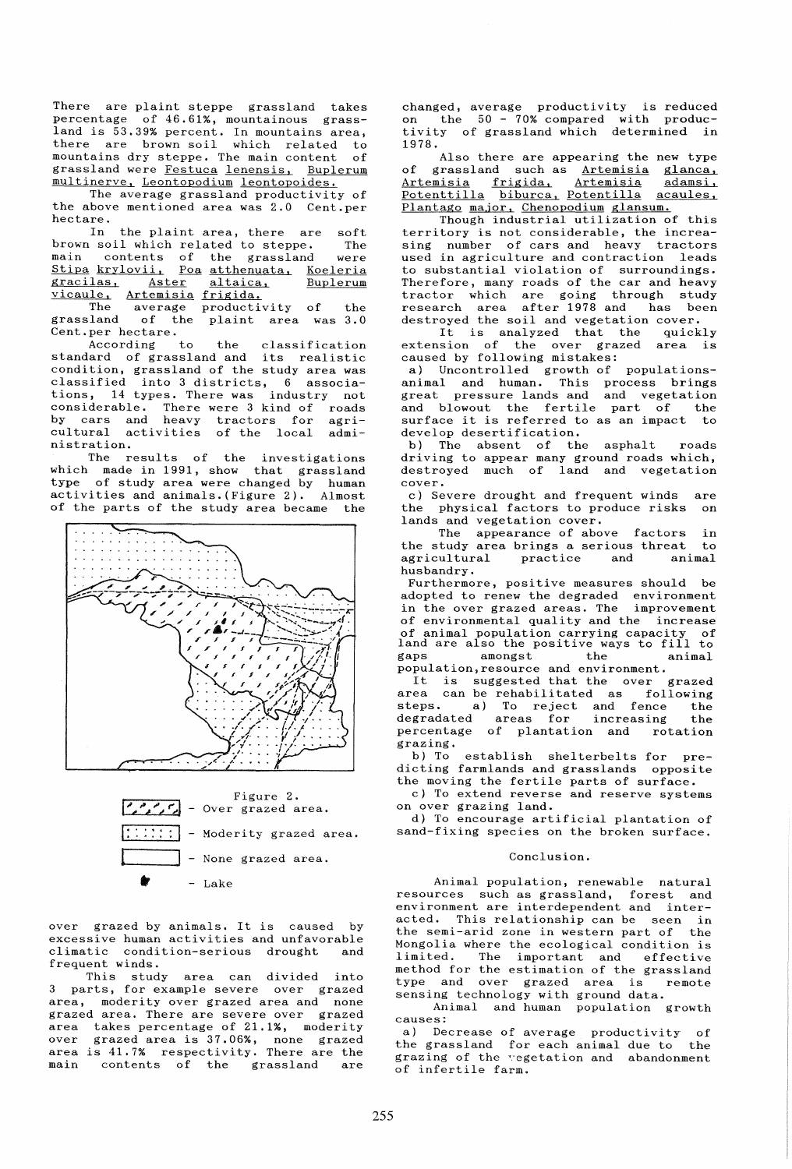There are plaint steppe grassland takes percentage of 46.61%, mountainous grassland is 53.39% percent. In mountains area, there are brown soil which related to<br>mountains dry steppe. The main content of mountains dry steppe. The main content grassland were Festuca lenensis, Buplerum multinerve, Leontopodium leontopoides.

The average grassland productivity of the above mentioned area was 2.0 Cent.per hectare.<br>In

the plaint area, there are soft<br>I which related to steppe. The brown soil which related to steppe. main contents of the grassland were Stipa krylovii. Poa atthenuata, Koeleria <u>essex mercestra sed accumulating moderna</u><br>gracilas, Aster altaica, Buplerum gracilas, Aster altaica,<br>
vicaule, Artemisia frigida.<br>
The average productive

The average productivity of the<br>grassland of the plaint area was 3.0 of the plaint area was  $3.0$ Cent.per hectare.<br>According to

According to the classification standard of grassland and its realistic condition, grassland of the study area was classified into 3 districts, 6 associations, 14 types. There was industry not considerable. There were 3 kind of roads by cars and heavy tractors for agricultural activities of the local administration.

The results of the investigations which made in 1991, show that grassland type of study area were changed by human activities and animals. (Figure 2). Almost of the parts of the study area became the





over grazed by animals. It is caused by excessive human activities and unfavorable climatic condition-serious drought and frequent winds.

This study area can divided into parts, for example severe over grazed area, moderity over grazed area and none grazed area. There are severe over grazed area takes percentage of 21.1%, moderity over grazed area is 37.06%, none grazed area is 41.7% respectivity. There are the main contents of the grassland are

changed, average productivity is reduced on the 50 - 70% compared with produc-tivity of grassland which determined in 1978.

Also there are appearing the new type of grassland such as Artemisia glanca,<br>Artemisia frigida, Artemisia adamsi, Artemisia frigida, Artemisia adamsi,<br><u>Potenttilla biburca, Potentilla acaules,</u> Potenttilla biburca, Potentilla acaules,<br>Plantago major, Chenopodium glansum.

Though industrial utilization of this territory is not considerable, the increasing number of cars and heavy tractors used in agriculture and contraction leads to substantial violation of surroundings. Therefore, many roads of the car and heavy tractor which are going through study research area after 1978 and has been destroyed the soil and vegetation cover.

It is analyzed that the quickly<br>usion of the over grazed area is extension of the over grazed caused by following mistakes:

a) Uncontrolled growth of populationsanimal and human. This process brings great pressure lands and and vegetation and blowout the fertile part of the<br>surface it is referred to as an impact to surface it is referred to as an impact develop desertification.

b) The absent of the asphalt roads driving to appear many ground roads which, destroyed much of land and vegetation cover.

c) Severe drought and frequent winds are the physical factors to produce risks on lands and vegetation cover.

The appearance of above factors in<br>study area brings a serious threat to the study area brings a serious threat to<br>agricultural practice and animal agricultural husbandry.

Furthermore, positive measures should be adopted to renew the degraded environment<br>in the over grazed areas. The improvement in the over grazed areas. The of environmental quality and the increase of animal population carrying capacity of land are also the positive ways to fill to gaps amongst the animal gaps amongst the animal<br>population,resource and environment.

puration, resource and environment.<br>It is suggested that the over grazed area can be rehabilitated as following steps. a) To reject and fence the degradated areas for increasing the percentage of plantation and rotation<br>percentage of plantation and rotation grazing.<br>b) To

establish shelterbelts for predicting farmlands and grasslands opposite the moving the fertile parts of surface.

c) To extend reverse and reserve systems on over grazing land.

d) To encourage artificial plantation of sand-fixing species on the broken surface.

#### Conclusion.

Animal population, renewable natural resources such as grassland, forest and environment are interdependent and interacted. This relationship can be seen in the semi-arid zone in western part of the Mongolia where the ecological condition is<br>limited. The important and effective The important and effective method for the estimation of the grassland type and over grazed area is remote sensing technology with ground data.

Animal and human population growth causes:

a) Decrease of average productivity of the grassland for each animal due to the grazing of the regetation and abandonment of infertile farm.